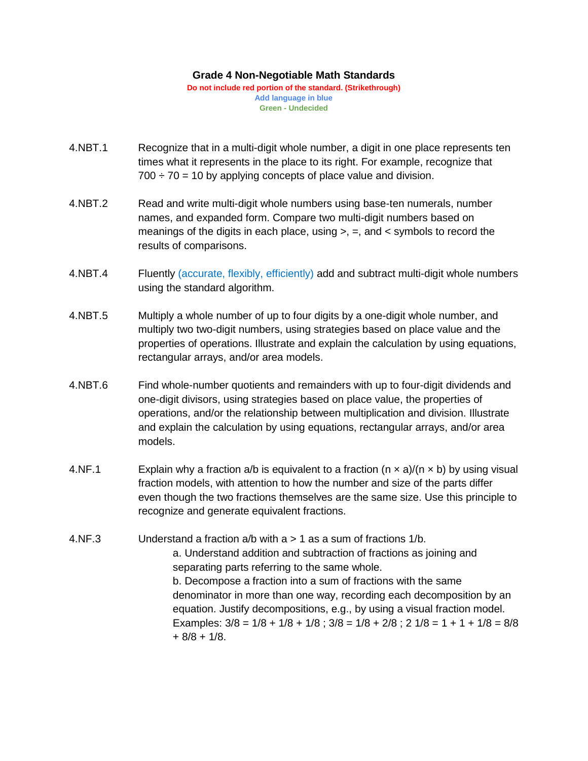## **Grade 4 Non-Negotiable Math Standards**

**Do not include red portion of the standard. (Strikethrough) Add language in blue Green - Undecided**

- 4.NBT.1 Recognize that in a multi-digit whole number, a digit in one place represents ten times what it represents in the place to its right. For example, recognize that  $700 \div 70 = 10$  by applying concepts of place value and division.
- 4.NBT.2 Read and write multi-digit whole numbers using base-ten numerals, number names, and expanded form. Compare two multi-digit numbers based on meanings of the digits in each place, using  $>$ ,  $=$ , and  $<$  symbols to record the results of comparisons.
- 4.NBT.4 Fluently (accurate, flexibly, efficiently) add and subtract multi-digit whole numbers using the standard algorithm.
- 4.NBT.5 Multiply a whole number of up to four digits by a one-digit whole number, and multiply two two-digit numbers, using strategies based on place value and the properties of operations. Illustrate and explain the calculation by using equations, rectangular arrays, and/or area models.
- 4.NBT.6 Find whole-number quotients and remainders with up to four-digit dividends and one-digit divisors, using strategies based on place value, the properties of operations, and/or the relationship between multiplication and division. Illustrate and explain the calculation by using equations, rectangular arrays, and/or area models.
- 4.NF.1 Explain why a fraction a/b is equivalent to a fraction ( $n \times a$ )/( $n \times b$ ) by using visual fraction models, with attention to how the number and size of the parts differ even though the two fractions themselves are the same size. Use this principle to recognize and generate equivalent fractions.
- 4.NF.3 Understand a fraction a/b with a > 1 as a sum of fractions 1/b. a. Understand addition and subtraction of fractions as joining and separating parts referring to the same whole. b. Decompose a fraction into a sum of fractions with the same denominator in more than one way, recording each decomposition by an equation. Justify decompositions, e.g., by using a visual fraction model. Examples:  $3/8 = 1/8 + 1/8 + 1/8$ ;  $3/8 = 1/8 + 2/8$ ;  $2 \frac{1}{8} = 1 + 1 + \frac{1}{8} = \frac{8}{8}$  $+ 8/8 + 1/8$ .